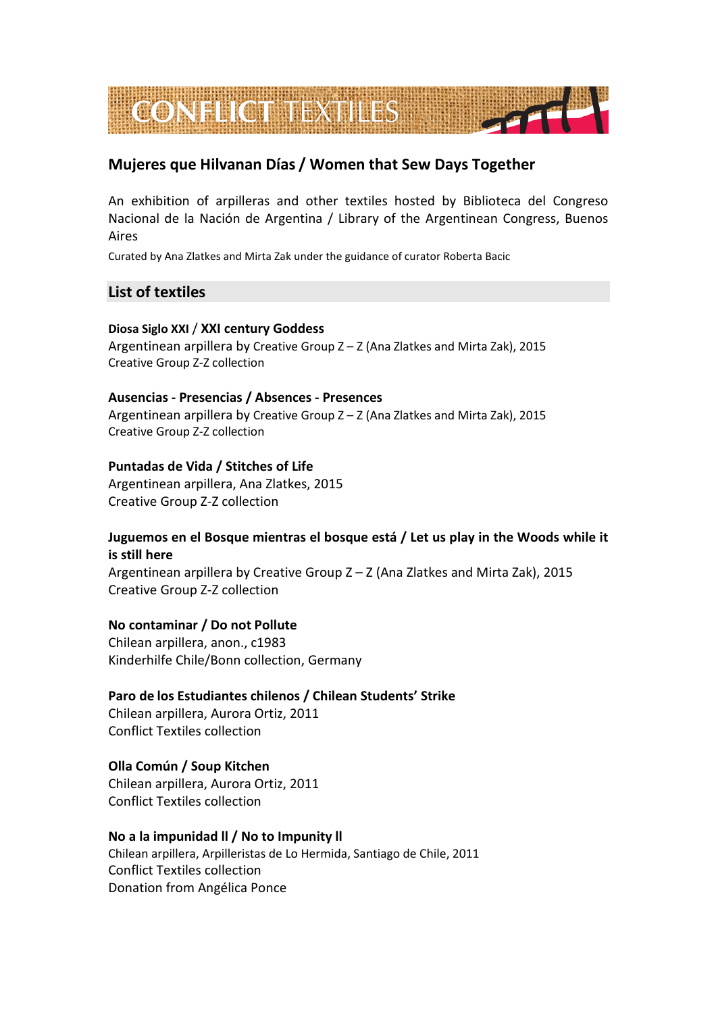

# **Mujeres que Hilvanan Días / Women that Sew Days Together**

An exhibition of arpilleras and other textiles hosted by Biblioteca del Congreso Nacional de la Nación de Argentina / Library of the Argentinean Congress, Buenos Aires

Curated by Ana Zlatkes and Mirta Zak under the guidance of curator Roberta Bacic

# **List of textiles**

# **Diosa Siglo XXI** / **XXI century Goddess**

Argentinean arpillera by Creative Group Z – Z (Ana Zlatkes and Mirta Zak), 2015 Creative Group Z-Z collection

# **Ausencias - Presencias / Absences - Presences**

Argentinean arpillera by Creative Group Z – Z (Ana Zlatkes and Mirta Zak), 2015 Creative Group Z-Z collection

# **Puntadas de Vida / Stitches of Life**

Argentinean arpillera, Ana Zlatkes, 2015 Creative Group Z-Z collection

# **Juguemos en el Bosque mientras el bosque está / Let us play in the Woods while it is still here**

Argentinean arpillera by Creative Group Z – Z (Ana Zlatkes and Mirta Zak), 2015 Creative Group Z-Z collection

# **No contaminar / Do not Pollute**

Chilean arpillera, anon., c1983 Kinderhilfe Chile/Bonn collection, Germany

#### **Paro de los Estudiantes chilenos / Chilean Students' Strike**

Chilean arpillera, Aurora Ortiz, 2011 Conflict Textiles collection

# **Olla Común / Soup Kitchen**

Chilean arpillera, Aurora Ortiz, 2011 Conflict Textiles collection

#### **No a la impunidad ll / No to Impunity ll**

Chilean arpillera, Arpilleristas de Lo Hermida, Santiago de Chile, 2011 Conflict Textiles collection Donation from Angélica Ponce